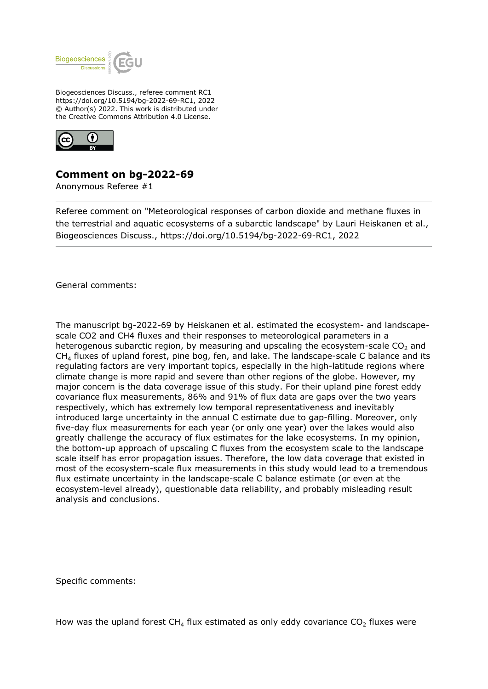

Biogeosciences Discuss., referee comment RC1 https://doi.org/10.5194/bg-2022-69-RC1, 2022 © Author(s) 2022. This work is distributed under the Creative Commons Attribution 4.0 License.



## **Comment on bg-2022-69**

Anonymous Referee #1

Referee comment on "Meteorological responses of carbon dioxide and methane fluxes in the terrestrial and aquatic ecosystems of a subarctic landscape" by Lauri Heiskanen et al., Biogeosciences Discuss., https://doi.org/10.5194/bg-2022-69-RC1, 2022

General comments:

The manuscript bg-2022-69 by Heiskanen et al. estimated the ecosystem- and landscapescale CO2 and CH4 fluxes and their responses to meteorological parameters in a heterogenous subarctic region, by measuring and upscaling the ecosystem-scale  $CO<sub>2</sub>$  and  $CH<sub>4</sub>$  fluxes of upland forest, pine bog, fen, and lake. The landscape-scale C balance and its regulating factors are very important topics, especially in the high-latitude regions where climate change is more rapid and severe than other regions of the globe. However, my major concern is the data coverage issue of this study. For their upland pine forest eddy covariance flux measurements, 86% and 91% of flux data are gaps over the two years respectively, which has extremely low temporal representativeness and inevitably introduced large uncertainty in the annual C estimate due to gap-filling. Moreover, only five-day flux measurements for each year (or only one year) over the lakes would also greatly challenge the accuracy of flux estimates for the lake ecosystems. In my opinion, the bottom-up approach of upscaling C fluxes from the ecosystem scale to the landscape scale itself has error propagation issues. Therefore, the low data coverage that existed in most of the ecosystem-scale flux measurements in this study would lead to a tremendous flux estimate uncertainty in the landscape-scale C balance estimate (or even at the ecosystem-level already), questionable data reliability, and probably misleading result analysis and conclusions.

Specific comments:

How was the upland forest  $CH_4$  flux estimated as only eddy covariance  $CO_2$  fluxes were